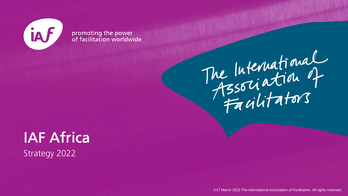

promoting the power<br>of facilitation worldwide



**IAF Africa Strategy 2022** 

©17 March 2022 The International Association of Facilitators. All rights reserved.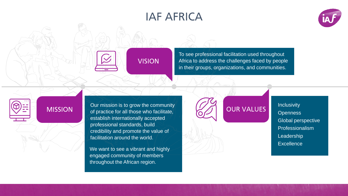## **IAF AFRICA**



#### **VISION**

To see professional facilitation used throughout Africa to address the challenges faced by people in their groups, organizations, and communities.

### **MISSION**

Our mission is to grow the community of practice for all those who facilitate, establish internationally accepted professional standards, build credibility and promote the value of facilitation around the world.

We want to see a vibrant and highly engaged community of members throughout the African region.

## **OUR VALUES**

**Inclusivity Openness** Global perspective Professionalism Leadership **Excellence**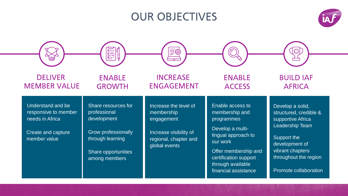## **OUR OBJECTIVES**



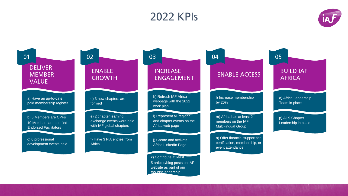## **2022 KPIs**



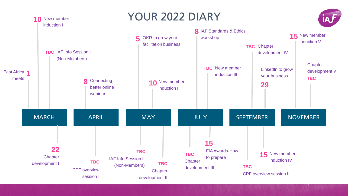